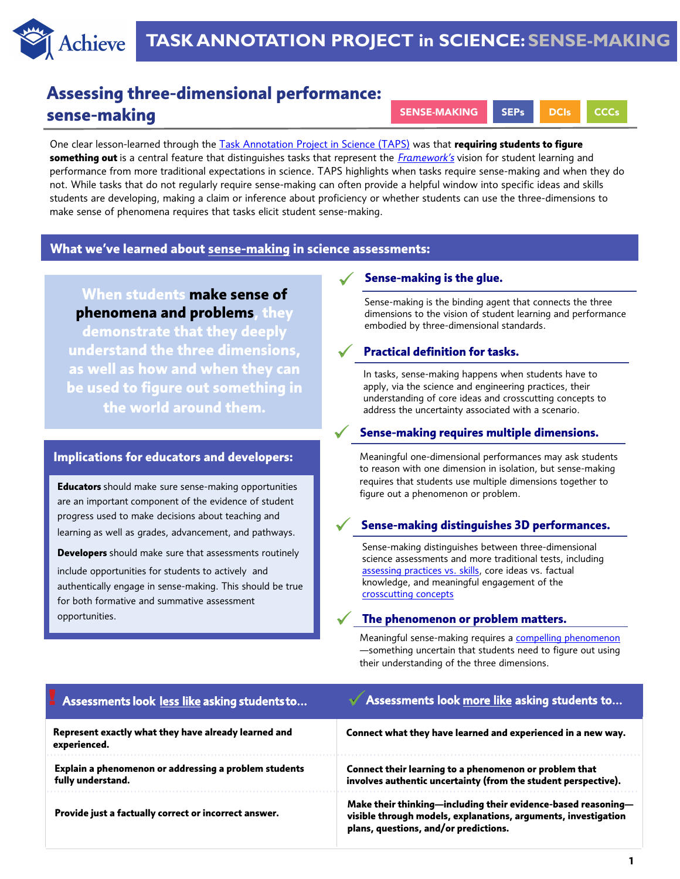

# **Assessing three-dimensional performance: sense-making**

SENSE-MAKING SEPs DCIs CCCs

One clear lesson-learned through the [Task Annotation Project in Science \(TAPS\)](www.achieve.org/science-task-annotations) was that **requiring students to figure something out** is a central feature that distinguishes tasks that represent the *[Framework's](https://www.nap.edu/catalog/13165/a-framework-for-k-12-science-education-practices-crosscutting-concepts)* vision for student learning and performance from more traditional expectations in science. TAPS highlights when tasks require sense-making and when they do not. While tasks that do not regularly require sense-making can often provide a helpful window into specific ideas and skills students are developing, making a claim or inference about proficiency or whether students can use the three-dimensions to make sense of phenomena requires that tasks elicit student sense-making.

# **What we've learned about sense-making in science assessments:**

**When students make sense of phenomena and problems, they** 

**demonstrate that they deeply understand the three dimensions, as well as how and when they can be used to figure out something in the world around them.**

# **Implications for educators and developers:**

**Educators** should make sure sense-making opportunities are an important component of the evidence of student progress used to make decisions about teaching and learning as well as grades, advancement, and pathways.

**Developers** should make sure that assessments routinely include opportunities for students to actively and authentically engage in sense-making. This should be true for both formative and summative assessment opportunities.

## ✓ **Sense-making is the glue.**

Sense-making is the binding agent that connects the three dimensions to the vision of student learning and performance embodied by three-dimensional standards.

#### ✓ **Practical definition for tasks.**

In tasks, sense-making happens when students have to apply, via the science and engineering practices, their understanding of core ideas and crosscutting concepts to address the uncertainty associated with a scenario.

# ✓ **Sense-making requires multiple dimensions.**

Meaningful one-dimensional performances may ask students to reason with one dimension in isolation, but sense-making requires that students use multiple dimensions together to figure out a phenomenon or problem.

## ✓ **Sense-making distinguishes 3D performances.**

Sense-making distinguishes between three-dimensional science assessments and more traditional tests, including [assessing practices vs. skills,](https://www.achieve.org/publications/science-task-annotations-science-and-engineering-practices) core ideas vs. factual knowledge, and meaningful engagement of the [crosscutting concepts](https://www.achieve.org/publications/science-task-annotations-crosscutting-concepts)

#### ✓ **The phenomenon or problem matters.**

Meaningful sense-making requires a [compelling phenomenon](https://www.achieve.org/publications/science-task-annotations-phenomena) —something uncertain that students need to figure out using their understanding of the three dimensions.

| Assessments look less like asking students to                              | Assessments look more like asking students to                                                                                                                            |
|----------------------------------------------------------------------------|--------------------------------------------------------------------------------------------------------------------------------------------------------------------------|
| Represent exactly what they have already learned and<br>experienced.       | Connect what they have learned and experienced in a new way.                                                                                                             |
| Explain a phenomenon or addressing a problem students<br>fully understand. | Connect their learning to a phenomenon or problem that<br>involves authentic uncertainty (from the student perspective).                                                 |
| Provide just a factually correct or incorrect answer.                      | Make their thinking—including their evidence-based reasoning—<br>visible through models, explanations, arguments, investigation<br>plans, questions, and/or predictions. |